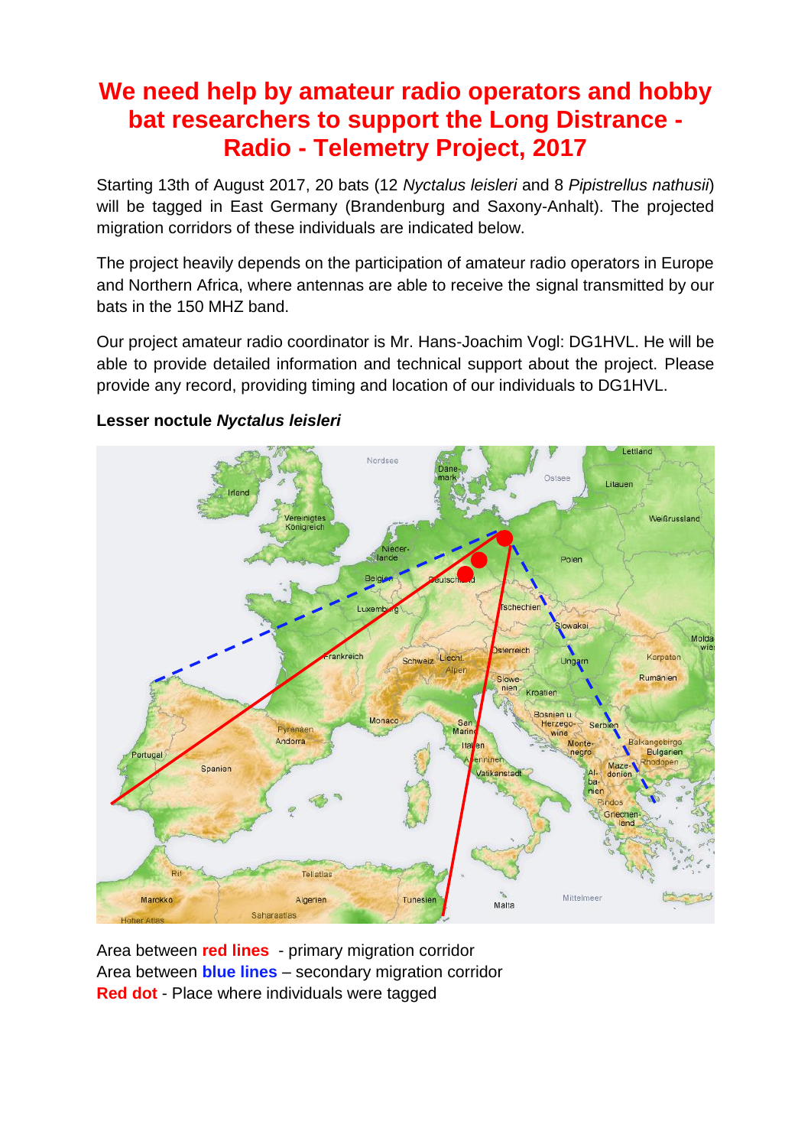## **We need help by amateur radio operators and hobby bat researchers to support the Long Distrance - Radio - Telemetry Project, 2017**

Starting 13th of August 2017, 20 bats (12 *Nyctalus leisleri* and 8 *Pipistrellus nathusii*) will be tagged in East Germany (Brandenburg and Saxony-Anhalt). The projected migration corridors of these individuals are indicated below.

The project heavily depends on the participation of amateur radio operators in Europe and Northern Africa, where antennas are able to receive the signal transmitted by our bats in the 150 MHZ band.

Our project amateur radio coordinator is Mr. Hans-Joachim Vogl: DG1HVL. He will be able to provide detailed information and technical support about the project. Please provide any record, providing timing and location of our individuals to DG1HVL.



## **Lesser noctule** *Nyctalus leisleri*

Area between **red lines** - primary migration corridor Area between **blue lines** – secondary migration corridor **Red dot** - Place where individuals were tagged